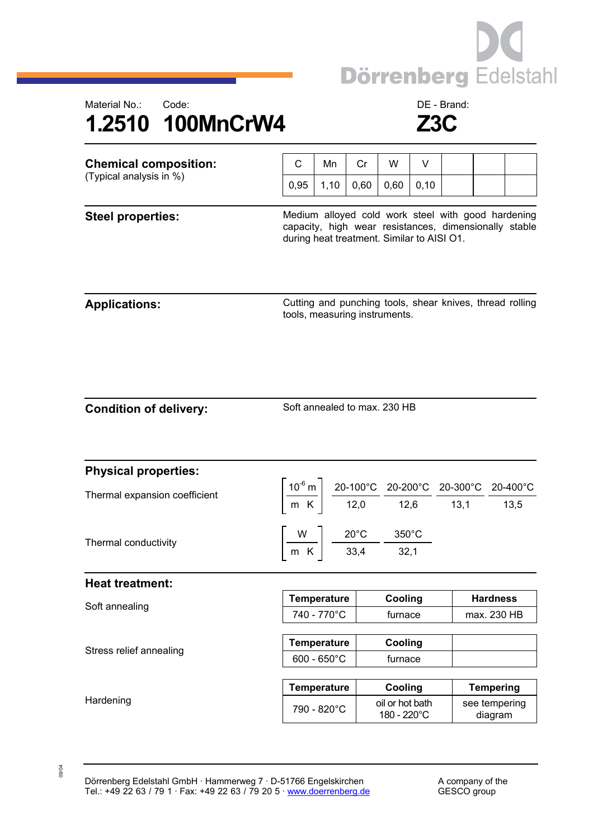

## Material No.: Code: Code: Code: DE - Brand: **1.2510 100MnCrW4 Z3C**

| <b>Chemical composition:</b><br>(Typical analysis in %) | C                                                                                                                                                         | Mn                    | Cr   | W       | V    |                                                                                                                                                                                                         |                  |  |
|---------------------------------------------------------|-----------------------------------------------------------------------------------------------------------------------------------------------------------|-----------------------|------|---------|------|---------------------------------------------------------------------------------------------------------------------------------------------------------------------------------------------------------|------------------|--|
|                                                         | 0,95                                                                                                                                                      | 1,10                  | 0,60 | 0,60    | 0,10 |                                                                                                                                                                                                         |                  |  |
| <b>Steel properties:</b>                                | Medium alloyed cold work steel with good hardening<br>capacity, high wear resistances, dimensionally stable<br>during heat treatment. Similar to AISI O1. |                       |      |         |      |                                                                                                                                                                                                         |                  |  |
| <b>Applications:</b>                                    | Cutting and punching tools, shear knives, thread rolling<br>tools, measuring instruments.                                                                 |                       |      |         |      |                                                                                                                                                                                                         |                  |  |
| <b>Condition of delivery:</b>                           | Soft annealed to max. 230 HB                                                                                                                              |                       |      |         |      |                                                                                                                                                                                                         |                  |  |
| <b>Physical properties:</b>                             |                                                                                                                                                           |                       |      |         |      |                                                                                                                                                                                                         |                  |  |
| Thermal expansion coefficient                           |                                                                                                                                                           |                       |      |         |      | $\left[\frac{10^{-6} \text{ m}}{\text{m K}}\right] \frac{20-100^{\circ} \text{C}}{12,0} \frac{20-200^{\circ} \text{C}}{12,6} \frac{20-300^{\circ} \text{C}}{13,1} \frac{20-400^{\circ} \text{C}}{13,5}$ |                  |  |
|                                                         | $\left[\frac{W}{m_{K}}\right] \frac{20^{\circ}C}{33,4} \frac{350^{\circ}C}{32,1}$                                                                         |                       |      |         |      |                                                                                                                                                                                                         |                  |  |
| Thermal conductivity                                    |                                                                                                                                                           |                       |      |         |      |                                                                                                                                                                                                         |                  |  |
| Heat treatment:                                         |                                                                                                                                                           |                       |      |         |      |                                                                                                                                                                                                         |                  |  |
|                                                         |                                                                                                                                                           | <b>Temperature</b>    |      | Cooling |      |                                                                                                                                                                                                         | <b>Hardness</b>  |  |
| Soft annealing                                          |                                                                                                                                                           | 740 - 770°C           |      | furnace |      |                                                                                                                                                                                                         | max. 230 HB      |  |
|                                                         |                                                                                                                                                           | <b>Temperature</b>    |      | Cooling |      |                                                                                                                                                                                                         |                  |  |
| Stress relief annealing                                 |                                                                                                                                                           | $600 - 650^{\circ}$ C |      | furnace |      |                                                                                                                                                                                                         |                  |  |
|                                                         |                                                                                                                                                           | <b>Temperature</b>    |      | Cooling |      |                                                                                                                                                                                                         | <b>Tempering</b> |  |

09/04